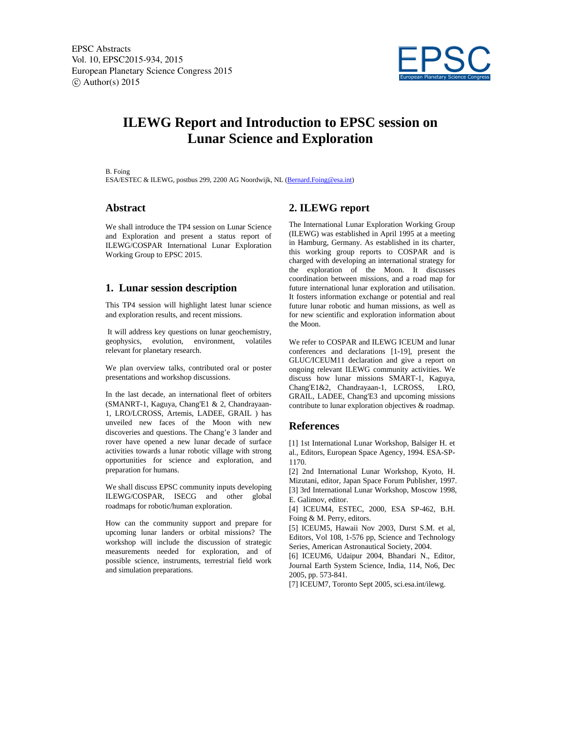

# **ILEWG Report and Introduction to EPSC session on Lunar Science and Exploration**

B. Foing

ESA/ESTEC & ILEWG, postbus 299, 2200 AG Noordwijk, NL (Bernard.Foing@esa.int)

### **Abstract**

We shall introduce the TP4 session on Lunar Science and Exploration and present a status report of ILEWG/COSPAR International Lunar Exploration Working Group to EPSC 2015.

#### **1. Lunar session description**

This TP4 session will highlight latest lunar science and exploration results, and recent missions.

 It will address key questions on lunar geochemistry, geophysics, evolution, environment, volatiles relevant for planetary research.

We plan overview talks, contributed oral or poster presentations and workshop discussions.

In the last decade, an international fleet of orbiters (SMANRT-1, Kaguya, Chang'E1 & 2, Chandrayaan-1, LRO/LCROSS, Artemis, LADEE, GRAIL ) has unveiled new faces of the Moon with new discoveries and questions. The Chang'e 3 lander and rover have opened a new lunar decade of surface activities towards a lunar robotic village with strong opportunities for science and exploration, and preparation for humans.

We shall discuss EPSC community inputs developing ILEWG/COSPAR, ISECG and other global roadmaps for robotic/human exploration.

How can the community support and prepare for upcoming lunar landers or orbital missions? The workshop will include the discussion of strategic measurements needed for exploration, and of possible science, instruments, terrestrial field work and simulation preparations.

## **2. ILEWG report**

The International Lunar Exploration Working Group (ILEWG) was established in April 1995 at a meeting in Hamburg, Germany. As established in its charter, this working group reports to COSPAR and is charged with developing an international strategy for the exploration of the Moon. It discusses coordination between missions, and a road map for future international lunar exploration and utilisation. It fosters information exchange or potential and real future lunar robotic and human missions, as well as for new scientific and exploration information about the Moon.

We refer to COSPAR and ILEWG ICEUM and lunar conferences and declarations [1-19], present the GLUC/ICEUM11 declaration and give a report on ongoing relevant ILEWG community activities. We discuss how lunar missions SMART-1, Kaguya, Chang'E1&2, Chandrayaan-1, LCROSS, LRO, GRAIL, LADEE, Chang'E3 and upcoming missions contribute to lunar exploration objectives & roadmap.

#### **References**

[1] 1st International Lunar Workshop, Balsiger H. et al., Editors, European Space Agency, 1994. ESA-SP-1170.

[2] 2nd International Lunar Workshop, Kyoto, H. Mizutani, editor, Japan Space Forum Publisher, 1997. [3] 3rd International Lunar Workshop, Moscow 1998, E. Galimov, editor.

[4] ICEUM4, ESTEC, 2000, ESA SP-462, B.H. Foing & M. Perry, editors.

[5] ICEUM5, Hawaii Nov 2003, Durst S.M. et al, Editors, Vol 108, 1-576 pp, Science and Technology Series, American Astronautical Society, 2004.

[6] ICEUM6, Udaipur 2004, Bhandari N., Editor, Journal Earth System Science, India, 114, No6, Dec 2005, pp. 573-841.

[7] ICEUM7, Toronto Sept 2005, sci.esa.int/ilewg.